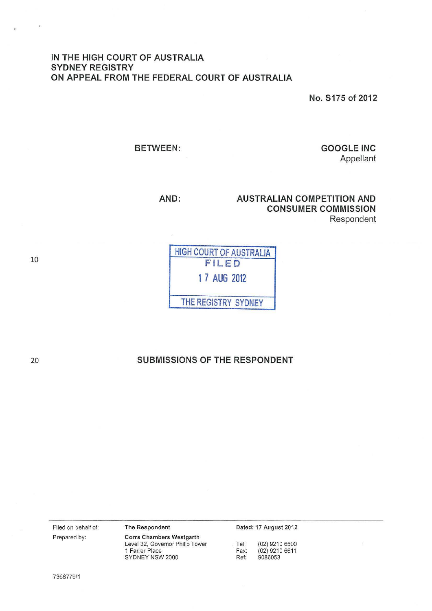## IN THE HIGH COURT OF AUSTRALIA SYDNEY REGISTRY ON APPEAL FROM THE FEDERAL COURT OF AUSTRALIA

No. S175 of 2012

BETWEEN:

GOOGLE INC Appellant

AND: AUSTRALIAN COMPETITION AND CONSUMER COMMISSION Respondent

| <b>HIGH COURT OF AUSTRALIA</b><br>FILED |
|-----------------------------------------|
| 1 7 AUG 2012                            |
| THE REGISTRY SYDNEY                     |

# SUBMISSIONS OF THE RESPONDENT

Filed on behalf of: Prepared by:

Corrs Chambers Westgarth Level 32, Governor Philip Tower 1 Farrer Place SYDNEY NSW 2000

The Respondent

Dated: 17 August 2012

Tel: (02) 9210 6500<br>Fax: (02) 9210 6611 Fax: (02) 9210 6611<br>Ref: 9086053 Ref: 9086053

7368779/1

10

 $\mathcal{F}$ 

 $\overline{\mathbf{z}}$ 

20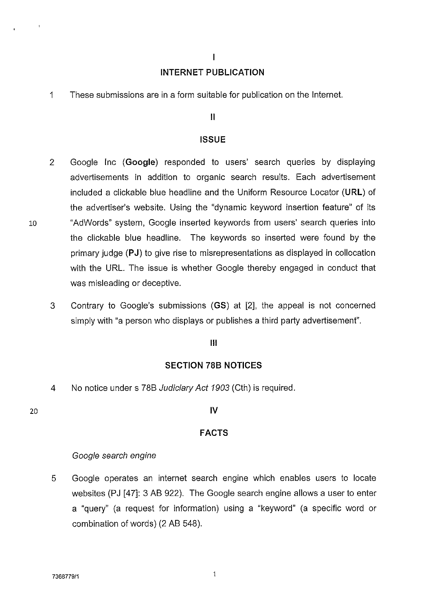### $\overline{1}$

# **INTERNET PUBLICATION**

1 These submissions are in a form suitable for publication on the Internet.

## II

## **ISSUE**

- 2 Google Inc **(Google)** responded to users' search queries by displaying advertisements in addition to organic search results. Each advertisement included a clickable blue headline and the Uniform Resource Locator **(URL)** of the advertiser's website. Using the "dynamic keyword insertion feature" of its 10 "AdWords" system, Google inserted keywords from users' search queries into the clickable blue headline. The keywords so inserted were found by the primary judge **(PJ)** to give rise to misrepresentations as displayed in collocation with the URL. The issue is whether Google thereby engaged in conduct that was misleading or deceptive.
	- 3 Contrary to Google's submissions **(GS)** at [2], the appeal is not concerned simply with "a person who displays or publishes a third party advertisement".

## Ill

### **SECTION 788 NOTICES**

4 No notice under s 788 Judiciary Act 1903 (Cth) is required.

#### 20

### **IV**

### **FACTS**

### Google search engine

5 Google operates an internet search engine which enables users to locate websites (PJ [47]: 3 AB 922). The Google search engine allows a user to enter a "query" (a request for information) using a "keyword" (a specific word or combination of words) (2 AB 548).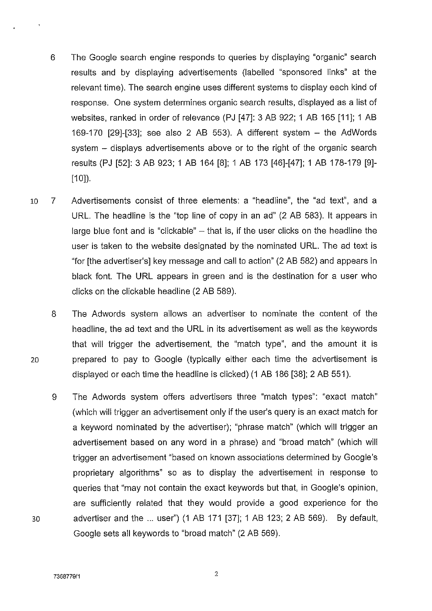- 6 The Google search engine responds to queries by displaying "organic" search results and by displaying advertisements (labelled "sponsored links" at the relevant time). The search engine uses different systems to display each kind of response. One system determines organic search results, displayed as a list of websites, ranked in order of relevance (PJ [47]: 3 AB 922; 1 AB 165 [11]; 1 AB 169-170 [29]-[33]; see also 2 AB 553). A different system - the AdWords system - displays advertisements above or to the right of the organic search results (PJ [52]: 3 AB 923; 1 AB 164 [8]; 1 AB 173 [46]-[47]; 1 AB 178-179 [9]-  $[10]$ ).
- 10 7 Advertisements consist of three elements: a "headline", the "ad text", and a URL. The headline is the "top line of copy in an ad" (2 AB 583). It appears in large blue font and is "clickable"  $-$  that is, if the user clicks on the headline the user is taken to the website designated by the nominated URL. The ad text is "for [the advertiser's] key message and call to action" (2 AB 582) and appears in black font. The URL appears in green and is the destination for a user who clicks on the clickable headline (2 AB 589).
- 8 The Adwords system allows an advertiser to nominate the content of the headline, the ad text and the URL in its advertisement as well as the keywords that will trigger the advertisement, the "match type", and the amount it is 20 prepared to pay to Google (typically either each time the advertisement is displayed or each time the headline is clicked) (1 AB 186 [38]; 2 AB 551).
- 9 The Adwords system offers advertisers three "match types": "exact match" (which will trigger an advertisement only if the user's query is an exact match for a keyword nominated by the advertiser); "phrase match" (which will trigger an advertisement based on any word in a phrase) and "broad match" (which will trigger an advertisement "based on known associations determined by Google's proprietary algorithms" so as to display the advertisement in response to queries that "may not contain the exact keywords but that, in Google's opinion, are sufficiently related that they would provide a good experience for the 30 advertiser and the ... user") (1 AB 171 [37]; 1 AB 123; 2 AB 569). By default, Google sets all keywords to "broad match" (2 AB 569).
-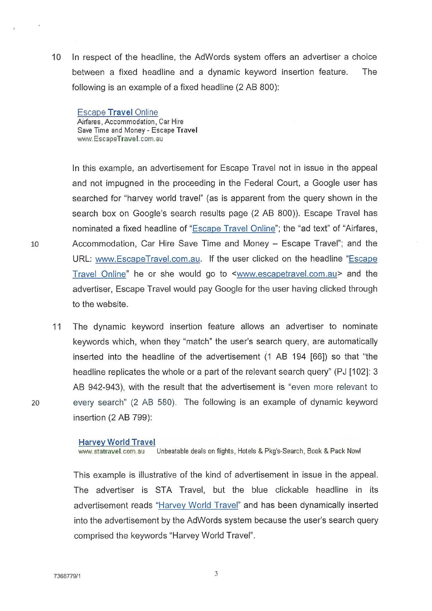10 In respect of the headline, the AdWords system offers an advertiser a choice between a fixed headline and a dynamic keyword insertion feature. The following is an example of a fixed headline (2 AB 800):

Escape Travel Online Airfares, Accommodation , Car Hire Save Time and Money - Escape Travel www.EscapeTravel.com.au

In this example, an advertisement for Escape Travel not in issue in the appeal and not impugned in the proceeding in the Federal Court, a Google user has searched for "harvey world travel" (as is apparent from the query shown in the search box on Google's search results page (2 AB 800)). Escape Travel has nominated a fixed headline of "Escape Travel Online"; the "ad text" of "Airfares, 10 Accommodation, Car Hire Save Time and Money - Escape Travel"; and the URL: www.EscapeTravel.com.au. If the user clicked on the headline "Escape Travel Online" he or she would go to <www.escapetravel.com.au> and the advertiser, Escape Travel would pay Google for the user having clicked through to the website.

11 The dynamic keyword insertion feature allows an advertiser to nominate keywords which, when they "match" the user's search query, are automatically inserted into the headline of the advertisement (1 AB 194 [66]) so that "the headline replicates the whole or a part of the relevant search query" (PJ [102]: 3 AB 942-943), with the result that the advertisement is "even more relevant to 20 every search" (2 AB 580). The following is an example of dynamic keyword insertion (2 AB 799):

#### Harvey World Travel

www.statravel.com.au Unbeatable deals on flights, Hotels & Pkg's-Search, Book & Pack Now!

This example is illustrative of the kind of advertisement in issue in the appeal. The advertiser is STA Travel, but the blue clickable headline in its advertisement reads "Harvey World Travel" and has been dynamically inserted into the advertisement by the AdWords system because the user's search query comprised the keywords "Harvey World Travel".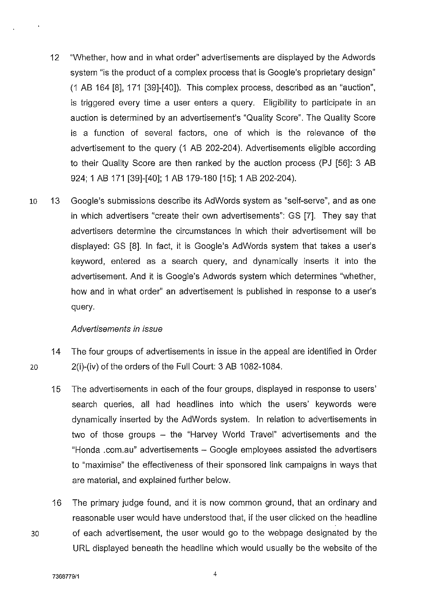- 12 "Whether, how and in what order" advertisements are displayed by the Adwords system "is the product of a complex process that is Google's proprietary design" (1 AB 164 [8], 171 [39]-[40]). This complex process, described as an "auction", is triggered every time a user enters a query. Eligibility to participate in an auction is determined by an advertisement's "Quality Score". The Quality Score is a function of several factors, one of which is the relevance of the advertisement to the query (1 AB 202-204). Advertisements eligible according to their Quality Score are then ranked by the auction process (PJ [56]: 3 AB 924; 1 AB 171 [39]-[40]; 1 AB 179-180 [15]; 1 AB 202-204).
- 10 13 Google's submissions describe its AdWords system as "self-serve", and as one in which advertisers "create their own advertisements": GS [7]. They say that advertisers determine the circumstances in which their advertisement will be displayed: GS [8]. In fact, it is Google's AdWords system that takes a user's keyword, entered as a search query, and dynamically inserts it into the advertisement. And it is Google's Adwords system which determines "whether, how and in what order" an advertisement is published in response to a user's query.

## Advertisements in issue

- 14 The four groups of advertisements in issue in the appeal are identified in Order 20 2(i)-(iv) of the orders of the Full Court: 3 AB 1082-1084.
	- 15 The advertisements in each of the four groups, displayed in response to users' search queries, all had headlines into which the users' keywords were dynamically inserted by the AdWords system. In relation to advertisements in two of those groups – the "Harvey World Travel" advertisements and the "Honda .com.au" advertisements - Google employees assisted the advertisers to "maximise" the effectiveness of their sponsored link campaigns in ways that are material, and explained further below.
- 16 The primary judge found, and it is now common ground, that an ordinary and reasonable user would have understood that, if the user clicked on the headline 30 of each advertisement, the user would go to the webpage designated by the URL displayed beneath the headline which would usually be the website of the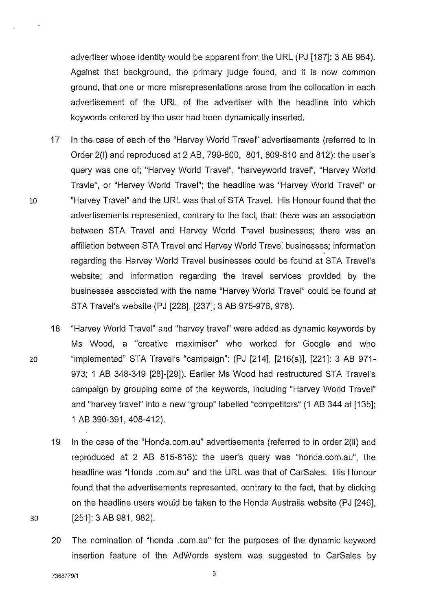advertiser whose identity would be apparent from the URL (PJ [187]: 3 AB 964). Against that background, the primary judge found, and it is now common ground, that one or more misrepresentations arose from the collocation in each advertisement of the URL of the advertiser with the headline into which keywords entered by the user had been dynamically inserted.

- 17 In the case of each of the "Harvey World Travel" advertisements (referred to in Order 2(i) and reproduced at 2 AB, 799-800, 801, 809-810 and 812): the user's query was one of; "Harvey World Travel", "harveyworld travel", "Harvey World Travle", or "Hervey World Travel"; the headline was "Harvey World Travel" or 10 "Harvey Travel" and the URL was that of STA Travel. His Honour found that the advertisements represented, contrary to the fact, that: there was an association between STA Travel and Harvey World Travel businesses; there was an affiliation between STA Travel and Harvey World Travel businesses; information regarding the Harvey World Travel businesses could be found at STA Travel's website; and information regarding the travel services provided by the businesses associated with the name "Harvey World Travel" could be found at STA Travel's website (PJ [228], [237]; 3 AB 975-976, 978).
- 18 "Harvey World Travel" and "harvey travel" were added as dynamic keywords by Ms Wood, a "creative maximiser'' who worked for Google and who 20 "implemented" STA Travel's "campaign": (PJ [214], [216(a)], [221]: 3 AB 971- 973; 1 AB 348-349 [28]-[29]). Earlier Ms Wood had restructured STA Travel's campaign by grouping some of the keywords, including "Harvey World Travel" and "harvey travel" into a new "group" labelled "competitors" (1 AB 344 at [13b]; 1 AB 390-391, 408-412).
- 19 In the case of the "Honda.com.au" advertisements (referred to in order 2(ii) and reproduced at 2 AB 815-816): the user's query was "honda.com.au", the headline was "Honda .com.au" and the URL was that of CarSales. His Honour found that the advertisements represented, contrary to the fact, that by clicking on the headline users would be taken to the Honda Australia website (PJ [246], 30 [251]: 3 AB 981, 982).
	- 20 The nomination of "honda .com.au" for the purposes of the dynamic keyword insertion feature of the AdWords system was suggested to CarSales by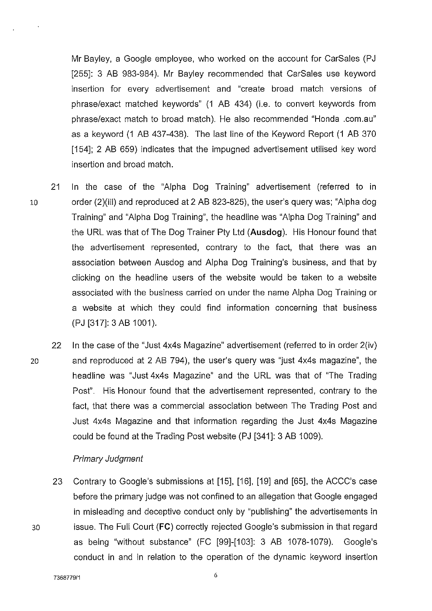Mr Bayley, a Google employee, who worked on the account for CarSales (PJ [255]: 3 AB 983-984). Mr Bayley recommended that CarSales use keyword insertion for every advertisement and "create broad match versions of phrase/exact matched keywords" (1 AB 434) (i.e. to convert keywords from phrase/exact match to broad match). He also recommended "Honda .com.au" as a keyword (1 AB 437-438). The last line of the Keyword Report (1 AB 370 [154]; 2 AB 659) indicates that the impugned advertisement utilised key word insertion and broad match.

- 21 In the case of the "Alpha Dog Training" advertisement (referred to in 10 order (2)(iii) and reproduced at 2 AB 823-825), the user's query was; "Alpha dog Training" and "Alpha Dog Training", the headline was "Alpha Dog Training" and the URL was that of The Dog Trainer Pty Ltd **(Ausdog).** His Honour found that the advertisement represented, contrary to the fact, that there was an association between Ausdog and Alpha Dog Training's business, and that by clicking on the headline users of the website would be taken to a website associated with the business carried on under the name Alpha Dog Training or a website at which they could find information concerning that business (PJ [317]: 3 AB 1001 ).
- 22 In the case of the "Just 4x4s Magazine" advertisement (referred to in order 2(iv) 20 and reproduced at 2 AB 794), the user's query was "just 4x4s magazine", the headline was "Just 4x4s Magazine" and the URL was that of "The Trading Post". His Honour found that the advertisement represented, contrary to the fact, that there was a commercial association between The Trading Post and Just 4x4s Magazine and that information regarding the Just 4x4s Magazine could be found at the Trading Post website (PJ [341]: 3 AB 1009).

## Primary Judgment

23 Contrary to Google's submissions at [15], [16], [19] and [65], the ACCC's case before the primary judge was not confined to an allegation that Google engaged in misleading and deceptive conduct only by "publishing" the advertisements in 30 issue. The Full Court **(FC)** correctly rejected Google's submission in that regard as being "without substance" (FC [99]-[1 03]: 3 AB 1078-1 079). Google's conduct in and in relation to the operation of the dynamic keyword insertion

7368779/1 6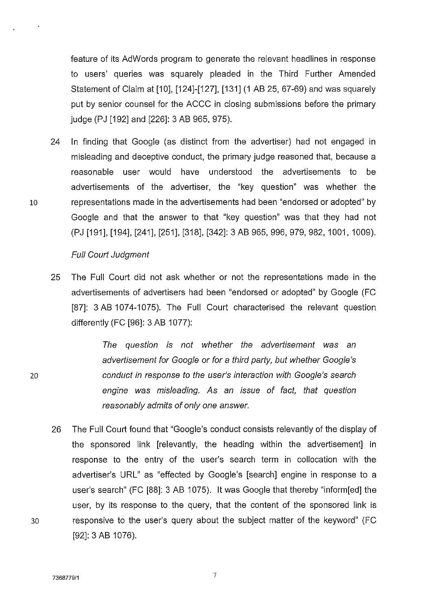feature of its AdWords program to generate the relevant headlines in response to users' queries was squarely pleaded in the Third Further Amended Statement of Claim at [10], [124]-[127], [131] (1 AB 25, 67-69) and was squarely put by senior counsel for the ACCC in closing submissions before the primary judge (PJ [192] and [226]: 3 AB 965, 975).

24 In finding that Google (as distinct from the advertiser) had not engaged in misleading and deceptive conduct, the primary judge reasoned that, because a reasonable user would have understood the advertisements to be advertisements of the advertiser, the "key question" was whether the 10 representations made in the advertisements had been "endorsed or adopted" by Google and that the answer to that "key question" was that they had not (PJ [191], [194], [241], [251], [318], [342]: 3 AB 965, 996, 979, 982, 1001, 1 009).

## Full Court Judgment

25 The Full Court did not ask whether or not the representations made in the advertisements of advertisers had been "endorsed or adopted" by Google (FC [87]: 3 AB 1074-1075). The Full Court characterised the relevant question differently (FC [96]: 3 AB 1077):

> The question is not whether the advertisement was an advertisement for Google or for a third party, but whether Google's conduct in response to the user's interaction with Google's search engine was misleading. As an issue of fact, that question reasonably admits of only one answer.

26 The Full Court found that "Google's conduct consists relevantly of the display of the sponsored link [relevantly, the heading within the advertisement] in response to the entry of the user's search term in collocation with the advertiser's URL" as "effected by Google's [search] engine in response to a user's search" (FC [88]: 3 AB 1075). It was Google that thereby "inform[ed] the user, by its response to the query, that the content of the sponsored link is 30 responsive to the user's query about the subject matter of the keyword" (FC [92]: 3 AB 1076).

 $\Delta$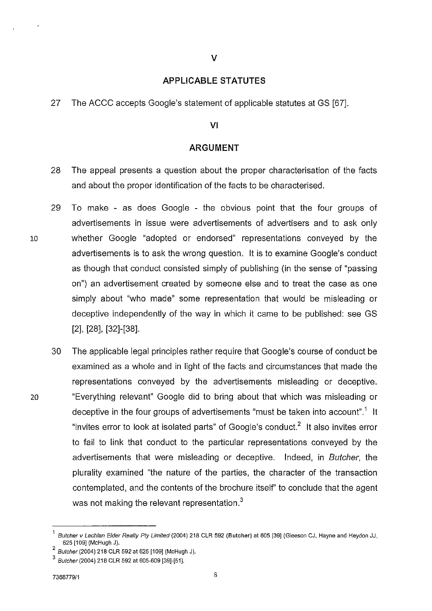## **APPLICABLE STATUTES**

27 The ACCC accepts Google's statement of applicable statutes at GS [67].

## VI

## **ARGUMENT**

- 28 The appeal presents a question about the proper characterisation of the facts and about the proper identification of the facts to be characterised.
- 29 To make as does Google the obvious point that the four groups of advertisements in issue were advertisements of advertisers and to ask only 10 whether Google "adopted or endorsed" representations conveyed by the advertisements is to ask the wrong question. It is to examine Google's conduct as though that conduct consisted simply of publishing (in the sense of "passing on") an advertisement created by someone else and to treat the case as one simply about "who made" some representation that would be misleading or deceptive independently of the way in which it came to be published: see GS [2], [28], [32]-[38].
- 30 The applicable legal principles rather require that Google's course of conduct be examined as a whole and in light of the facts and circumstances that made the representations conveyed by the advertisements misleading or deceptive. 20 "Everything relevant" Google did to bring about that which was misleading or deceptive in the four groups of advertisements "must be taken into account".<sup>1</sup> It "invites error to look at isolated parts" of Google's conduct.<sup>2</sup> It also invites error to fail to link that conduct to the particular representations conveyed by the advertisements that were misleading or deceptive. Indeed, in Butcher, the plurality examined "the nature of the parties, the character of the transaction contemplated, and the contents of the brochure itself' to conclude that the agent was not making the relevant representation.<sup>3</sup>

Butcher v Lachlan Elder Realty Pty Limited (2004) 218 CLR 592 (Butcher) at 605 [39] (Gleeson CJ, Hayne and Heydon JJ, 625 [109] (McHugh J).

 $2$  Butcher (2004) 218 CLR 592 at 625 [109] (McHugh J).

 $3$  Butcher (2004) 218 CLR 592 at 605-609 [39]-[51].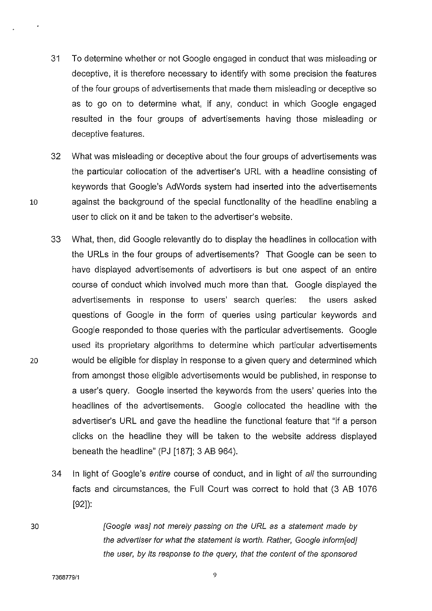- 31 To determine whether or not Google engaged in conduct that was misleading or deceptive, it is therefore necessary to identify with some precision the features of the four groups of advertisements that made them misleading or deceptive so as to go on to determine what, if any, conduct in which Google engaged resulted in the four groups of advertisements having those misleading or deceptive features.
- 32 What was misleading or deceptive about the four groups of advertisements was the particular collocation of the advertiser's URL with a headline consisting of keywords that Google's AdWords system had inserted into the advertisements 10 against the background of the special functionality of the headline enabling a user to click on it and be taken to the advertiser's website.
- 33 What, then, did Google relevantly do to display the headlines in collocation with the URLs in the four groups of advertisements? That Google can be seen to have displayed advertisements of advertisers is but one aspect of an entire course of conduct which involved much more than that. Google displayed the advertisements in response to users' search queries: the users asked questions of Google in the form of queries using particular keywords and Google responded to those queries with the particular advertisements. Google used its proprietary algorithms to determine which particular advertisements 20 would be eligible for display in response to a given query and determined which from amongst those eligible advertisements would be published, in response to a user's query. Google inserted the keywords from the users' queries into the headlines of the advertisements. Google collocated the headline with the advertiser's URL and gave the headline the functional feature that "if a person clicks on the headline they will be taken to the website address displayed beneath the headline" (PJ [187]; 3 AB 964 ).
	- 34 In light of Google's entire course of conduct, and in light of all the surrounding facts and circumstances, the Full Court was correct to hold that (3 AB 1076 [92]):
		- [Google was] not merely passing on the URL as a statement made by the advertiser for what the statement is worth. Rather, Google inform[ed] the user, by its response to the query, that the content of the sponsored

9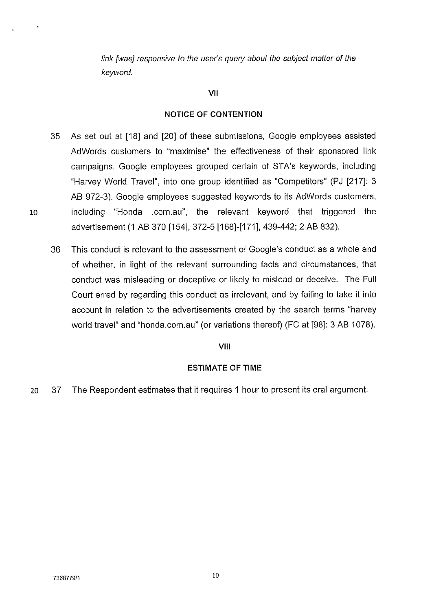link [was] responsive to the user's query about the subject matter of the keyword.

## **VII**

## **NOTICE OF CONTENTION**

- 35 As set out at [18] and [20] of these submissions, Google employees assisted AdWords customers to "maximise" the effectiveness of their sponsored link campaigns. Google employees grouped certain of STA's keywords, including "Harvey World Travel", into one group identified as "Competitors" (PJ [217]: 3 AB 972-3). Google employees suggested keywords to its AdWords customers, 10 including "Honda .com.au", the relevant keyword that triggered the advertisement (1 AB 370 [154], 372-5 [168]-[171], 439-442; 2 AB 832).
	- 36 This conduct is relevant to the assessment of Google's conduct as a whole and of whether, in light of the relevant surrounding facts and circumstances, that conduct was misleading or deceptive or likely to mislead or deceive. The **Full**  Court erred by regarding this conduct as irrelevant, and by failing to take it into account in relation to the advertisements created by the search terms "harvey world travel" and "honda.com.au" (or variations thereof) (FC at [98]: 3 AB 1078).

### **VIII**

## **ESTIMATE OF TIME**

20 37 The Respondent estimates that it requires 1 hour to present its oral argument.